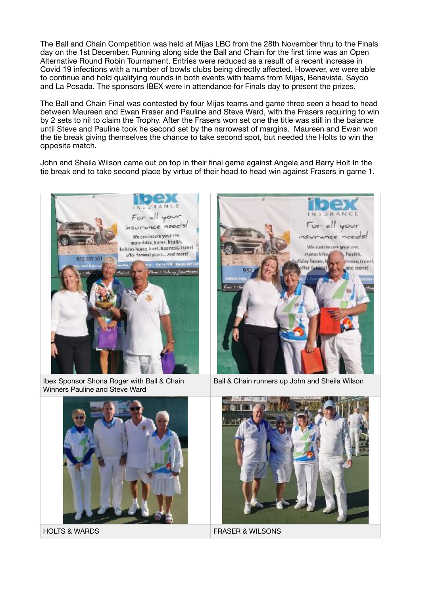The Ball and Chain Competition was held at Mijas LBC from the 28th November thru to the Finals day on the 1st December. Running along side the Ball and Chain for the first time was an Open Alternative Round Robin Tournament. Entries were reduced as a result of a recent increase in Covid 19 infections with a number of bowls clubs being directly affected. However, we were able to continue and hold qualifying rounds in both events with teams from Mijas, Benavista, Saydo and La Posada. The sponsors IBEX were in attendance for Finals day to present the prizes.

The Ball and Chain Final was contested by four Mijas teams and game three seen a head to head between Maureen and Ewan Fraser and Pauline and Steve Ward, with the Frasers requiring to win by 2 sets to nil to claim the Trophy. After the Frasers won set one the title was still in the balance until Steve and Pauline took he second set by the narrowest of margins. Maureen and Ewan won the tie break giving themselves the chance to take second spot, but needed the Holts to win the opposite match.

John and Sheila Wilson came out on top in their final game against Angela and Barry Holt In the tie break end to take second place by virtue of their head to head win against Frasers in game 1.



Ibex Sponsor Shona Roger with Ball & Chain Winners Pauline and Steve Ward





Ball & Chain runners up John and Sheila Wilson



HOLTS & WARDS FRASER & WILSONS